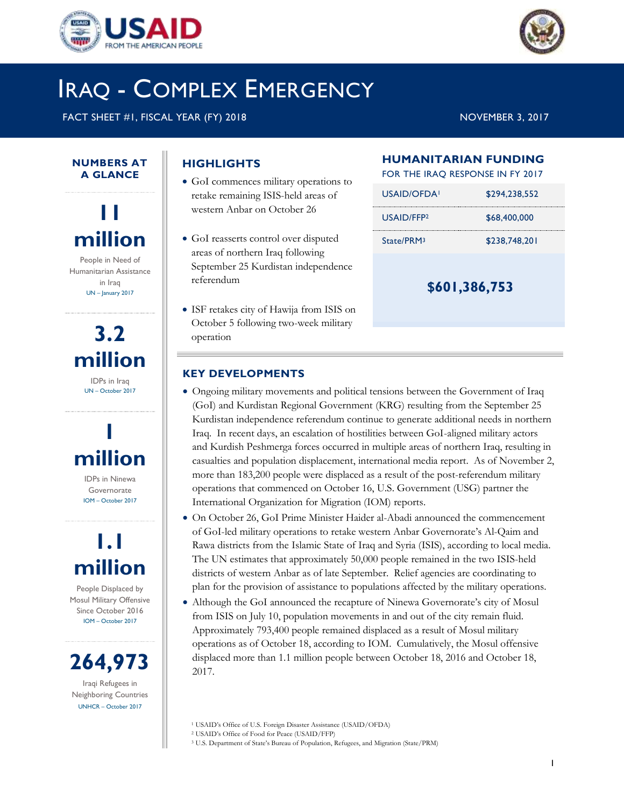



## IRAQ - COMPLEX EMERGENCY

FACT SHEET #1, FISCAL YEAR (FY) 2018 NOVEMBER 3, 2017

#### **NUMBERS AT A GLANCE**

**11 million** People in Need of Humanitarian Assistance

in Iraq UN – January 2017

# **3.2 million**

IDPs in Iraq UN – October 2017



IDPs in Ninewa Governorate IOM – October 2017

## **1.1 million**

People Displaced by Mosul Military Offensive Since October 2016 IOM – October 2017

**264,973**

Iraqi Refugees in Neighboring Countries UNHCR – October 2017

## **HIGHLIGHTS**

- GoI commences military operations to retake remaining ISIS-held areas of western Anbar on October 26
- GoI reasserts control over disputed areas of northern Iraq following September 25 Kurdistan independence referendum
- ISF retakes city of Hawija from ISIS on October 5 following two-week military operation

## **HUMANITARIAN FUNDING**

FOR THE IRAQ RESPONSE IN FY 2017

| USAID/OFDA!            | \$294,238,552 |
|------------------------|---------------|
| USAID/FFP <sub>2</sub> | \$68,400,000  |
| State/PRM3             | \$238,748,201 |
|                        |               |

**\$601,386,753**

## **KEY DEVELOPMENTS**

- Ongoing military movements and political tensions between the Government of Iraq (GoI) and Kurdistan Regional Government (KRG) resulting from the September 25 Kurdistan independence referendum continue to generate additional needs in northern Iraq. In recent days, an escalation of hostilities between GoI-aligned military actors and Kurdish Peshmerga forces occurred in multiple areas of northern Iraq, resulting in casualties and population displacement, international media report. As of November 2, more than 183,200 people were displaced as a result of the post-referendum military operations that commenced on October 16, U.S. Government (USG) partner the International Organization for Migration (IOM) reports.
- On October 26, GoI Prime Minister Haider al-Abadi announced the commencement of GoI-led military operations to retake western Anbar Governorate's Al-Qaim and Rawa districts from the Islamic State of Iraq and Syria (ISIS), according to local media. The UN estimates that approximately 50,000 people remained in the two ISIS-held districts of western Anbar as of late September. Relief agencies are coordinating to plan for the provision of assistance to populations affected by the military operations.
- Although the GoI announced the recapture of Ninewa Governorate's city of Mosul from ISIS on July 10, population movements in and out of the city remain fluid. Approximately 793,400 people remained displaced as a result of Mosul military operations as of October 18, according to IOM. Cumulatively, the Mosul offensive displaced more than 1.1 million people between October 18, 2016 and October 18, 2017.

<sup>1</sup> USAID's Office of U.S. Foreign Disaster Assistance (USAID/OFDA)

<sup>3</sup> U.S. Department of State's Bureau of Population, Refugees, and Migration (State/PRM)

<sup>2</sup> USAID's Office of Food for Peace (USAID/FFP)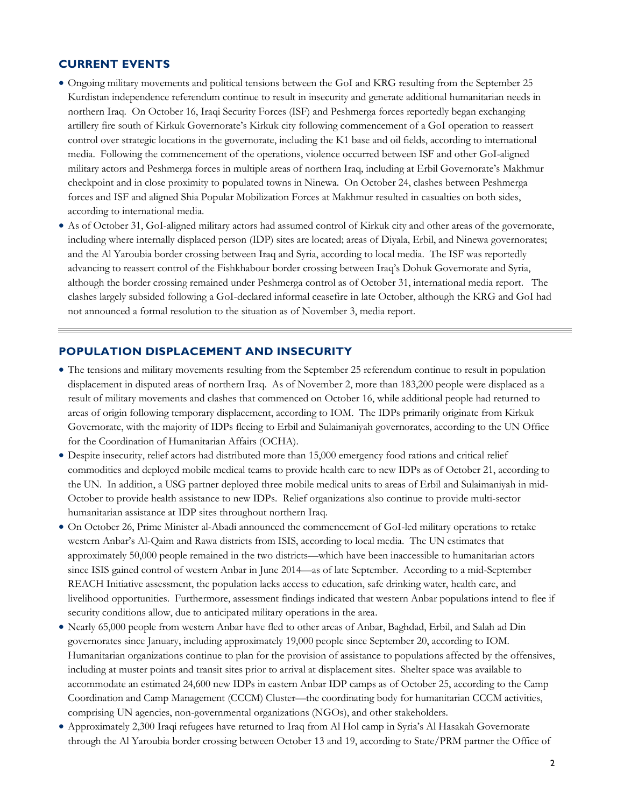#### **CURRENT EVENTS**

- Ongoing military movements and political tensions between the GoI and KRG resulting from the September 25 Kurdistan independence referendum continue to result in insecurity and generate additional humanitarian needs in northern Iraq. On October 16, Iraqi Security Forces (ISF) and Peshmerga forces reportedly began exchanging artillery fire south of Kirkuk Governorate's Kirkuk city following commencement of a GoI operation to reassert control over strategic locations in the governorate, including the K1 base and oil fields, according to international media. Following the commencement of the operations, violence occurred between ISF and other GoI-aligned military actors and Peshmerga forces in multiple areas of northern Iraq, including at Erbil Governorate's Makhmur checkpoint and in close proximity to populated towns in Ninewa. On October 24, clashes between Peshmerga forces and ISF and aligned Shia Popular Mobilization Forces at Makhmur resulted in casualties on both sides, according to international media.
- As of October 31, GoI-aligned military actors had assumed control of Kirkuk city and other areas of the governorate, including where internally displaced person (IDP) sites are located; areas of Diyala, Erbil, and Ninewa governorates; and the Al Yaroubia border crossing between Iraq and Syria, according to local media. The ISF was reportedly advancing to reassert control of the Fishkhabour border crossing between Iraq's Dohuk Governorate and Syria, although the border crossing remained under Peshmerga control as of October 31, international media report. The clashes largely subsided following a GoI-declared informal ceasefire in late October, although the KRG and GoI had not announced a formal resolution to the situation as of November 3, media report.

#### **POPULATION DISPLACEMENT AND INSECURITY**

- The tensions and military movements resulting from the September 25 referendum continue to result in population displacement in disputed areas of northern Iraq. As of November 2, more than 183,200 people were displaced as a result of military movements and clashes that commenced on October 16, while additional people had returned to areas of origin following temporary displacement, according to IOM. The IDPs primarily originate from Kirkuk Governorate, with the majority of IDPs fleeing to Erbil and Sulaimaniyah governorates, according to the UN Office for the Coordination of Humanitarian Affairs (OCHA).
- Despite insecurity, relief actors had distributed more than 15,000 emergency food rations and critical relief commodities and deployed mobile medical teams to provide health care to new IDPs as of October 21, according to the UN. In addition, a USG partner deployed three mobile medical units to areas of Erbil and Sulaimaniyah in mid-October to provide health assistance to new IDPs. Relief organizations also continue to provide multi-sector humanitarian assistance at IDP sites throughout northern Iraq.
- On October 26, Prime Minister al-Abadi announced the commencement of GoI-led military operations to retake western Anbar's Al-Qaim and Rawa districts from ISIS, according to local media. The UN estimates that approximately 50,000 people remained in the two districts—which have been inaccessible to humanitarian actors since ISIS gained control of western Anbar in June 2014—as of late September. According to a mid-September REACH Initiative assessment, the population lacks access to education, safe drinking water, health care, and livelihood opportunities. Furthermore, assessment findings indicated that western Anbar populations intend to flee if security conditions allow, due to anticipated military operations in the area.
- Nearly 65,000 people from western Anbar have fled to other areas of Anbar, Baghdad, Erbil, and Salah ad Din governorates since January, including approximately 19,000 people since September 20, according to IOM. Humanitarian organizations continue to plan for the provision of assistance to populations affected by the offensives, including at muster points and transit sites prior to arrival at displacement sites. Shelter space was available to accommodate an estimated 24,600 new IDPs in eastern Anbar IDP camps as of October 25, according to the Camp Coordination and Camp Management (CCCM) Cluster—the coordinating body for humanitarian CCCM activities, comprising UN agencies, non-governmental organizations (NGOs), and other stakeholders.
- Approximately 2,300 Iraqi refugees have returned to Iraq from Al Hol camp in Syria's Al Hasakah Governorate through the Al Yaroubia border crossing between October 13 and 19, according to State/PRM partner the Office of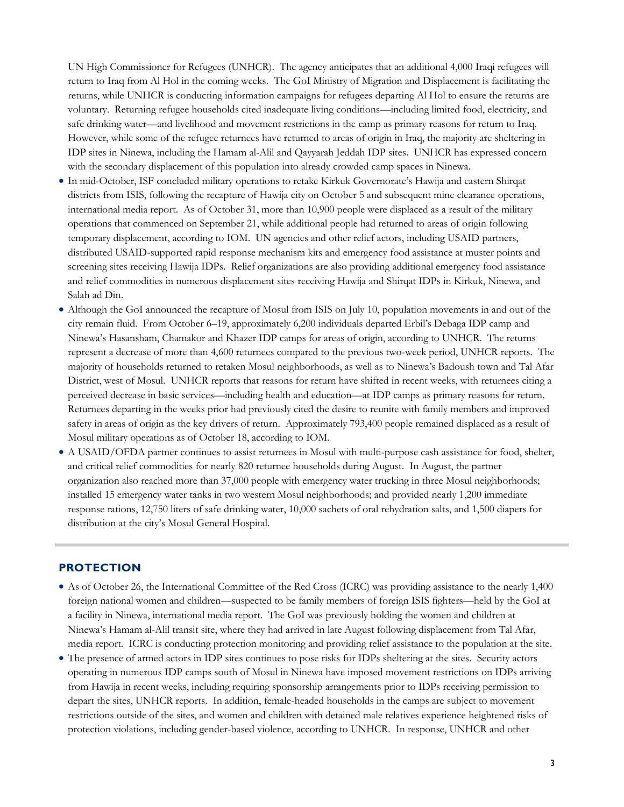UN High Commissioner for Refugees (UNHCR). The agency anticipates that an additional 4,000 Iraqi refugees will return to Iraq from Al Hol in the coming weeks. The GoI Ministry of Migration and Displacement is facilitating the returns, while UNHCR is conducting information campaigns for refugees departing Al Hol to ensure the returns are voluntary. Returning refugee households cited inadequate living conditions—including limited food, electricity, and safe drinking water—and livelihood and movement restrictions in the camp as primary reasons for return to Iraq. However, while some of the refugee returnees have returned to areas of origin in Iraq, the majority are sheltering in IDP sites in Ninewa, including the Hamam al-Alil and Qayyarah Jeddah IDP sites. UNHCR has expressed concern with the secondary displacement of this population into already crowded camp spaces in Ninewa.

- In mid-October, ISF concluded military operations to retake Kirkuk Governorate's Hawija and eastern Shirqat districts from ISIS, following the recapture of Hawija city on October 5 and subsequent mine clearance operations, international media report. As of October 31, more than 10,900 people were displaced as a result of the military operations that commenced on September 21, while additional people had returned to areas of origin following temporary displacement, according to IOM. UN agencies and other relief actors, including USAID partners, distributed USAID-supported rapid response mechanism kits and emergency food assistance at muster points and screening sites receiving Hawija IDPs. Relief organizations are also providing additional emergency food assistance and relief commodities in numerous displacement sites receiving Hawija and Shirqat IDPs in Kirkuk, Ninewa, and Salah ad Din.
- Although the GoI announced the recapture of Mosul from ISIS on July 10, population movements in and out of the city remain fluid. From October 6–19, approximately 6,200 individuals departed Erbil's Debaga IDP camp and Ninewa's Hasansham, Chamakor and Khazer IDP camps for areas of origin, according to UNHCR. The returns represent a decrease of more than 4,600 returnees compared to the previous two-week period, UNHCR reports. The majority of households returned to retaken Mosul neighborhoods, as well as to Ninewa's Badoush town and Tal Afar District, west of Mosul. UNHCR reports that reasons for return have shifted in recent weeks, with returnees citing a perceived decrease in basic services—including health and education—at IDP camps as primary reasons for return. Returnees departing in the weeks prior had previously cited the desire to reunite with family members and improved safety in areas of origin as the key drivers of return. Approximately 793,400 people remained displaced as a result of Mosul military operations as of October 18, according to IOM.
- A USAID/OFDA partner continues to assist returnees in Mosul with multi-purpose cash assistance for food, shelter, and critical relief commodities for nearly 820 returnee households during August. In August, the partner organization also reached more than 37,000 people with emergency water trucking in three Mosul neighborhoods; installed 15 emergency water tanks in two western Mosul neighborhoods; and provided nearly 1,200 immediate response rations, 12,750 liters of safe drinking water, 10,000 sachets of oral rehydration salts, and 1,500 diapers for distribution at the city's Mosul General Hospital.

#### **PROTECTION**

- As of October 26, the International Committee of the Red Cross (ICRC) was providing assistance to the nearly 1,400 foreign national women and children—suspected to be family members of foreign ISIS fighters—held by the GoI at a facility in Ninewa, international media report. The GoI was previously holding the women and children at Ninewa's Hamam al-Alil transit site, where they had arrived in late August following displacement from Tal Afar, media report. ICRC is conducting protection monitoring and providing relief assistance to the population at the site.
- The presence of armed actors in IDP sites continues to pose risks for IDPs sheltering at the sites. Security actors operating in numerous IDP camps south of Mosul in Ninewa have imposed movement restrictions on IDPs arriving from Hawija in recent weeks, including requiring sponsorship arrangements prior to IDPs receiving permission to depart the sites, UNHCR reports. In addition, female-headed households in the camps are subject to movement restrictions outside of the sites, and women and children with detained male relatives experience heightened risks of protection violations, including gender-based violence, according to UNHCR. In response, UNHCR and other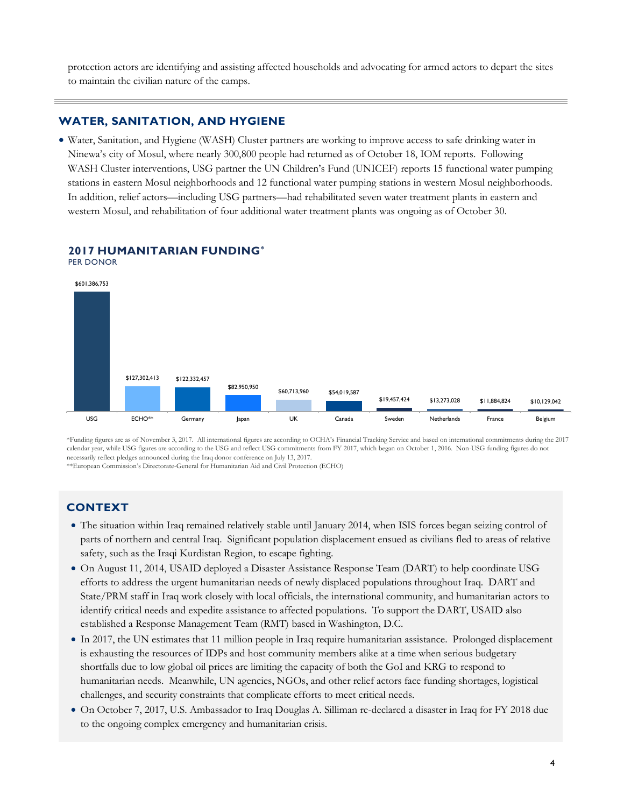protection actors are identifying and assisting affected households and advocating for armed actors to depart the sites to maintain the civilian nature of the camps.

#### **WATER, SANITATION, AND HYGIENE**

 Water, Sanitation, and Hygiene (WASH) Cluster partners are working to improve access to safe drinking water in Ninewa's city of Mosul, where nearly 300,800 people had returned as of October 18, IOM reports. Following WASH Cluster interventions, USG partner the UN Children's Fund (UNICEF) reports 15 functional water pumping stations in eastern Mosul neighborhoods and 12 functional water pumping stations in western Mosul neighborhoods. In addition, relief actors—including USG partners—had rehabilitated seven water treatment plants in eastern and western Mosul, and rehabilitation of four additional water treatment plants was ongoing as of October 30.



#### **2017 HUMANITARIAN FUNDING\***

\*Funding figures are as of November 3, 2017. All international figures are according to OCHA's Financial Tracking Service and based on international commitments during the 2017 calendar year, while USG figures are according to the USG and reflect USG commitments from FY 2017, which began on October 1, 2016. Non-USG funding figures do not necessarily reflect pledges announced during the Iraq donor conference on July 13, 2017.

\*\*European Commission's Directorate-General for Humanitarian Aid and Civil Protection (ECHO)

## **CONTEXT**

- The situation within Iraq remained relatively stable until January 2014, when ISIS forces began seizing control of parts of northern and central Iraq. Significant population displacement ensued as civilians fled to areas of relative safety, such as the Iraqi Kurdistan Region, to escape fighting.
- On August 11, 2014, USAID deployed a Disaster Assistance Response Team (DART) to help coordinate USG efforts to address the urgent humanitarian needs of newly displaced populations throughout Iraq. DART and State/PRM staff in Iraq work closely with local officials, the international community, and humanitarian actors to identify critical needs and expedite assistance to affected populations. To support the DART, USAID also established a Response Management Team (RMT) based in Washington, D.C.
- In 2017, the UN estimates that 11 million people in Iraq require humanitarian assistance. Prolonged displacement is exhausting the resources of IDPs and host community members alike at a time when serious budgetary shortfalls due to low global oil prices are limiting the capacity of both the GoI and KRG to respond to humanitarian needs. Meanwhile, UN agencies, NGOs, and other relief actors face funding shortages, logistical challenges, and security constraints that complicate efforts to meet critical needs.
- On October 7, 2017, U.S. Ambassador to Iraq Douglas A. Silliman re-declared a disaster in Iraq for FY 2018 due to the ongoing complex emergency and humanitarian crisis.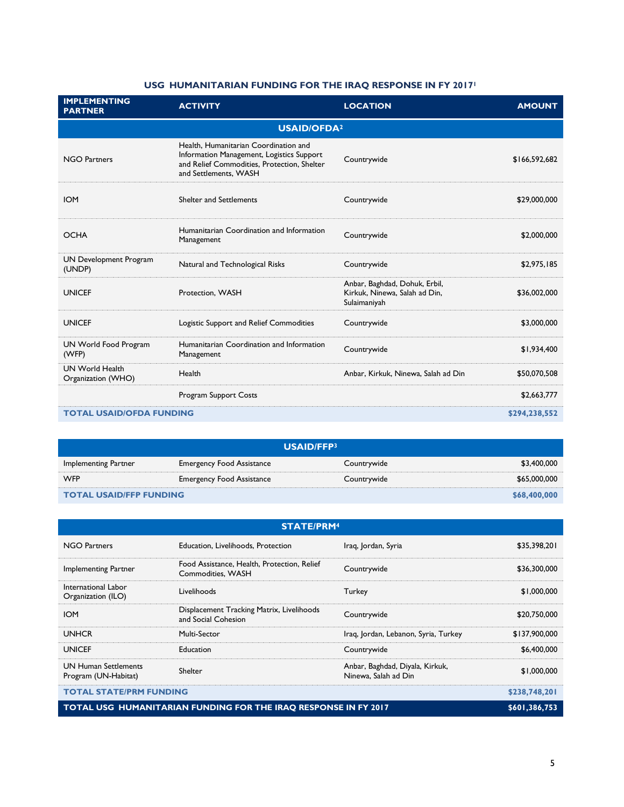### **USG HUMANITARIAN FUNDING FOR THE IRAQ RESPONSE IN FY 2017<sup>1</sup>**

| <b>IMPLEMENTING</b><br><b>PARTNER</b>        | <b>ACTIVITY</b>                                                                                                                                            | <b>LOCATION</b>                                                                | <b>AMOUNT</b> |  |
|----------------------------------------------|------------------------------------------------------------------------------------------------------------------------------------------------------------|--------------------------------------------------------------------------------|---------------|--|
| <b>USAID/OFDA2</b>                           |                                                                                                                                                            |                                                                                |               |  |
| <b>NGO Partners</b>                          | Health, Humanitarian Coordination and<br>Information Management, Logistics Support<br>and Relief Commodities, Protection, Shelter<br>and Settlements, WASH | Countrywide                                                                    | \$166,592,682 |  |
| <b>IOM</b>                                   | Shelter and Settlements                                                                                                                                    | Countrywide                                                                    | \$29,000,000  |  |
| <b>OCHA</b>                                  | Humanitarian Coordination and Information<br>Management                                                                                                    | Countrywide                                                                    | \$2,000,000   |  |
| UN Development Program<br>(UNDP)             | Natural and Technological Risks                                                                                                                            | Countrywide                                                                    | \$2,975,185   |  |
| <b>UNICEF</b>                                | Protection, WASH                                                                                                                                           | Anbar, Baghdad, Dohuk, Erbil,<br>Kirkuk, Ninewa, Salah ad Din,<br>Sulaimaniyah | \$36,002,000  |  |
| <b>UNICEF</b>                                | Logistic Support and Relief Commodities                                                                                                                    | Countrywide                                                                    | \$3,000,000   |  |
| UN World Food Program<br>(WFP)               | Humanitarian Coordination and Information<br>Management                                                                                                    | Countrywide                                                                    | \$1,934,400   |  |
| <b>UN World Health</b><br>Organization (WHO) | Health                                                                                                                                                     | Anbar, Kirkuk, Ninewa, Salah ad Din                                            | \$50,070,508  |  |
|                                              | Program Support Costs                                                                                                                                      |                                                                                | \$2,663,777   |  |
| <b>TOTAL USAID/OFDA FUNDING</b>              |                                                                                                                                                            |                                                                                | \$294,238,552 |  |

| USAID/FFP3                     |                                  |              |              |  |
|--------------------------------|----------------------------------|--------------|--------------|--|
| Implementing Partner           | Emergency Food Assistance        | Countrywide  | \$3,400,000  |  |
| <b>WFP</b>                     | <b>Emergency Food Assistance</b> | Countrywide  | \$65,000,000 |  |
| <b>TOTAL USAID/FFP FUNDING</b> |                                  | \$68,400,000 |              |  |

| <b>STATE/PRM4</b>                                               |                                                                  |                                                         |               |  |
|-----------------------------------------------------------------|------------------------------------------------------------------|---------------------------------------------------------|---------------|--|
| NGO Partners                                                    | Education, Livelihoods, Protection                               | Iraq, Jordan, Syria                                     | \$35,398,201  |  |
| Implementing Partner                                            | Food Assistance, Health, Protection, Relief<br>Commodities, WASH | Countrywide                                             | \$36,300,000  |  |
| International Labor<br>Organization (ILO)                       | Livelihoods                                                      | Turkey                                                  | \$1,000,000   |  |
| <b>IOM</b>                                                      | Displacement Tracking Matrix, Livelihoods<br>and Social Cohesion | Countrywide                                             | \$20,750,000  |  |
| <b>UNHCR</b>                                                    | Multi-Sector                                                     | Iraq, Jordan, Lebanon, Syria, Turkey                    | \$137,900,000 |  |
| <b>UNICEF</b>                                                   | Education                                                        | Countrywide                                             | \$6,400,000   |  |
| <b>UN Human Settlements</b><br>Program (UN-Habitat)             | Shelter                                                          | Anbar, Baghdad, Diyala, Kirkuk,<br>Ninewa, Salah ad Din | \$1,000,000   |  |
| <b>TOTAL STATE/PRM FUNDING</b>                                  |                                                                  |                                                         | \$238,748,201 |  |
| TOTAL USG HUMANITARIAN FUNDING FOR THE IRAO RESPONSE IN FY 2017 |                                                                  |                                                         | \$601,386,753 |  |